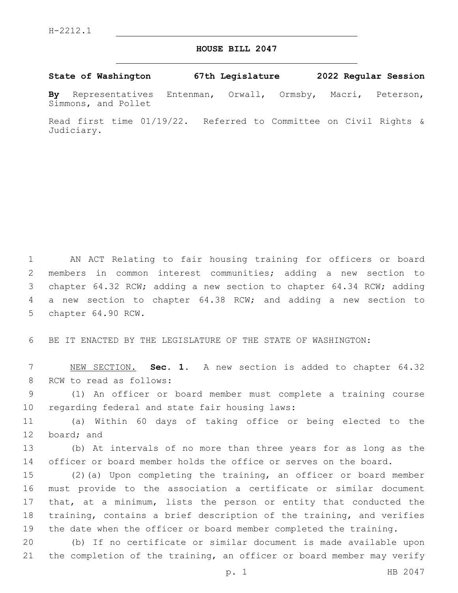## **HOUSE BILL 2047**

**State of Washington 67th Legislature 2022 Regular Session**

**By** Representatives Entenman, Orwall, Ormsby, Macri, Peterson, Simmons, and Pollet

Read first time 01/19/22. Referred to Committee on Civil Rights & Judiciary.

 AN ACT Relating to fair housing training for officers or board members in common interest communities; adding a new section to chapter 64.32 RCW; adding a new section to chapter 64.34 RCW; adding a new section to chapter 64.38 RCW; and adding a new section to 5 chapter 64.90 RCW.

6 BE IT ENACTED BY THE LEGISLATURE OF THE STATE OF WASHINGTON:

7 NEW SECTION. **Sec. 1.** A new section is added to chapter 64.32 8 RCW to read as follows:

9 (1) An officer or board member must complete a training course 10 regarding federal and state fair housing laws:

11 (a) Within 60 days of taking office or being elected to the 12 board; and

13 (b) At intervals of no more than three years for as long as the 14 officer or board member holds the office or serves on the board.

 (2)(a) Upon completing the training, an officer or board member must provide to the association a certificate or similar document 17 that, at a minimum, lists the person or entity that conducted the training, contains a brief description of the training, and verifies the date when the officer or board member completed the training.

20 (b) If no certificate or similar document is made available upon 21 the completion of the training, an officer or board member may verify

p. 1 HB 2047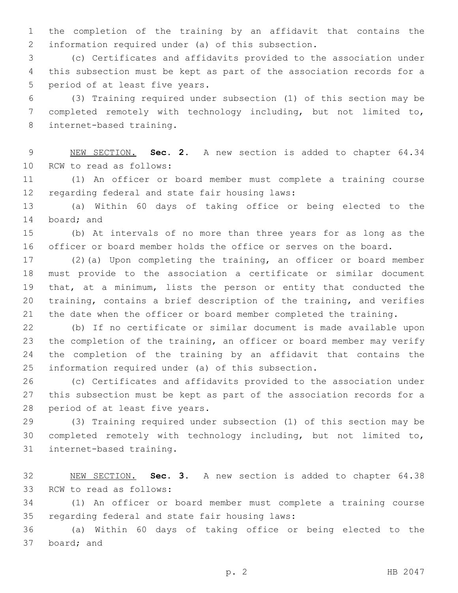the completion of the training by an affidavit that contains the 2 information required under (a) of this subsection.

 (c) Certificates and affidavits provided to the association under this subsection must be kept as part of the association records for a 5 period of at least five years.

 (3) Training required under subsection (1) of this section may be completed remotely with technology including, but not limited to, 8 internet-based training.

 NEW SECTION. **Sec. 2.** A new section is added to chapter 64.34 10 RCW to read as follows:

 (1) An officer or board member must complete a training course 12 regarding federal and state fair housing laws:

 (a) Within 60 days of taking office or being elected to the 14 board; and

 (b) At intervals of no more than three years for as long as the officer or board member holds the office or serves on the board.

 (2)(a) Upon completing the training, an officer or board member must provide to the association a certificate or similar document that, at a minimum, lists the person or entity that conducted the training, contains a brief description of the training, and verifies the date when the officer or board member completed the training.

 (b) If no certificate or similar document is made available upon the completion of the training, an officer or board member may verify the completion of the training by an affidavit that contains the information required under (a) of this subsection.

 (c) Certificates and affidavits provided to the association under this subsection must be kept as part of the association records for a 28 period of at least five years.

 (3) Training required under subsection (1) of this section may be completed remotely with technology including, but not limited to, 31 internet-based training.

 NEW SECTION. **Sec. 3.** A new section is added to chapter 64.38 33 RCW to read as follows:

 (1) An officer or board member must complete a training course 35 regarding federal and state fair housing laws:

 (a) Within 60 days of taking office or being elected to the 37 board; and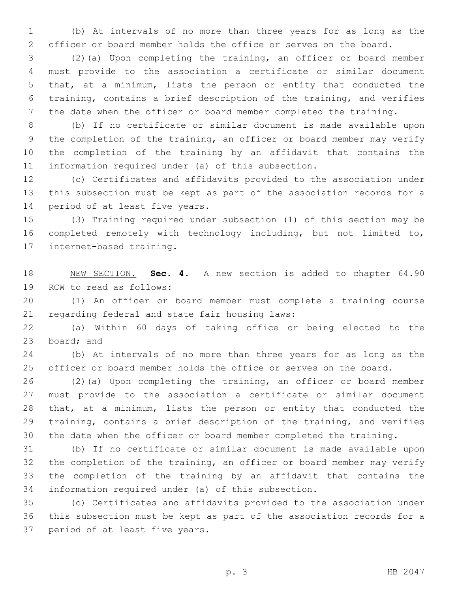(b) At intervals of no more than three years for as long as the officer or board member holds the office or serves on the board.

 (2)(a) Upon completing the training, an officer or board member must provide to the association a certificate or similar document that, at a minimum, lists the person or entity that conducted the training, contains a brief description of the training, and verifies the date when the officer or board member completed the training.

 (b) If no certificate or similar document is made available upon the completion of the training, an officer or board member may verify the completion of the training by an affidavit that contains the information required under (a) of this subsection.

 (c) Certificates and affidavits provided to the association under this subsection must be kept as part of the association records for a 14 period of at least five years.

 (3) Training required under subsection (1) of this section may be completed remotely with technology including, but not limited to, 17 internet-based training.

 NEW SECTION. **Sec. 4.** A new section is added to chapter 64.90 19 RCW to read as follows:

 (1) An officer or board member must complete a training course 21 regarding federal and state fair housing laws:

 (a) Within 60 days of taking office or being elected to the 23 board; and

 (b) At intervals of no more than three years for as long as the officer or board member holds the office or serves on the board.

 (2)(a) Upon completing the training, an officer or board member must provide to the association a certificate or similar document that, at a minimum, lists the person or entity that conducted the training, contains a brief description of the training, and verifies the date when the officer or board member completed the training.

 (b) If no certificate or similar document is made available upon the completion of the training, an officer or board member may verify the completion of the training by an affidavit that contains the information required under (a) of this subsection.

 (c) Certificates and affidavits provided to the association under this subsection must be kept as part of the association records for a 37 period of at least five years.